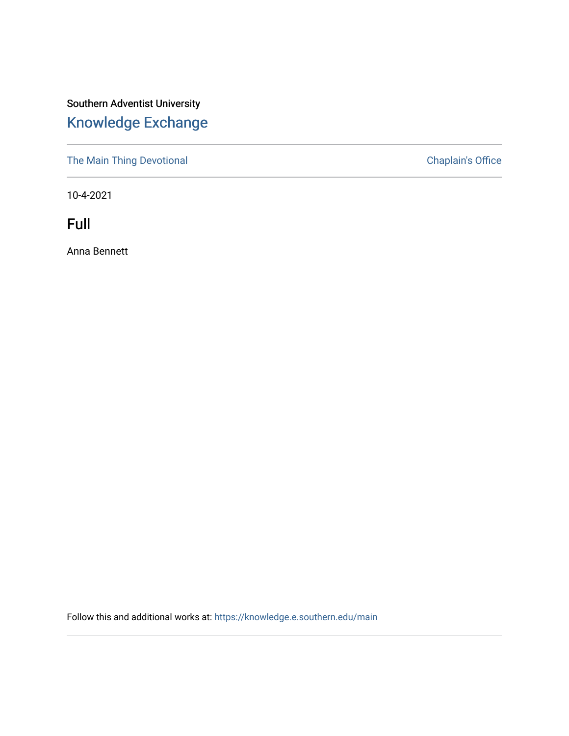## Southern Adventist University [Knowledge Exchange](https://knowledge.e.southern.edu/)

[The Main Thing Devotional](https://knowledge.e.southern.edu/main) Chaplain's Office

10-4-2021

Full

Anna Bennett

Follow this and additional works at: [https://knowledge.e.southern.edu/main](https://knowledge.e.southern.edu/main?utm_source=knowledge.e.southern.edu%2Fmain%2F74&utm_medium=PDF&utm_campaign=PDFCoverPages)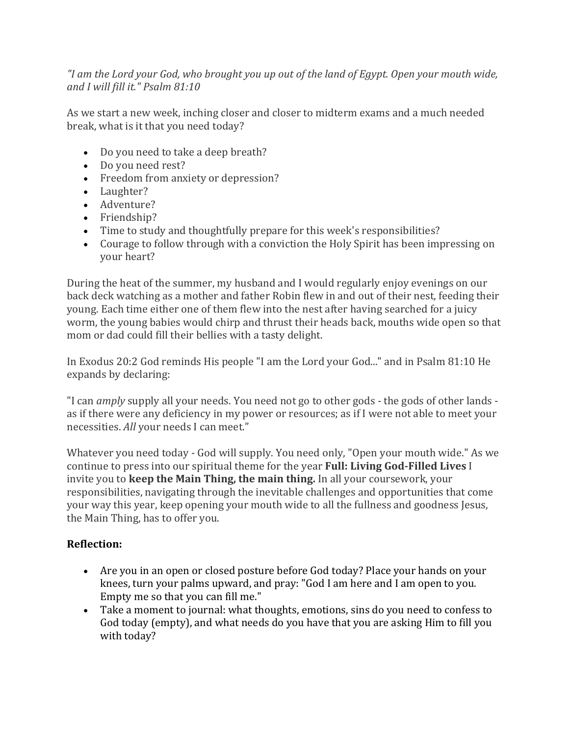*If* am the Lord your God, who brought you up out of the land of Egypt. Open your mouth wide, *and I will fill it." Psalm 81:10*

As we start a new week, inching closer and closer to midterm exams and a much needed break, what is it that you need today?

- Do you need to take a deep breath?
- Do you need rest?
- Freedom from anxiety or depression?
- Laughter?
- Adventure?
- Friendship?
- Time to study and thoughtfully prepare for this week's responsibilities?
- Courage to follow through with a conviction the Holy Spirit has been impressing on vour heart?

During the heat of the summer, my husband and I would regularly enjoy evenings on our back deck watching as a mother and father Robin flew in and out of their nest, feeding their young. Each time either one of them flew into the nest after having searched for a juicy worm, the young babies would chirp and thrust their heads back, mouths wide open so that mom or dad could fill their bellies with a tasty delight.

In Exodus 20:2 God reminds His people "I am the Lord your God..." and in Psalm 81:10 He expands by declaring:

"I can *amply* supply all your needs. You need not go to other gods - the gods of other lands as if there were any deficiency in my power or resources; as if I were not able to meet your necessities. All your needs I can meet."

Whatever you need today - God will supply. You need only, "Open your mouth wide." As we continue to press into our spiritual theme for the year **Full: Living God-Filled Lives** I invite you to **keep the Main Thing, the main thing.** In all your coursework, your responsibilities, navigating through the inevitable challenges and opportunities that come your way this year, keep opening your mouth wide to all the fullness and goodness Jesus, the Main Thing, has to offer you.

## **Reflection:**

- Are you in an open or closed posture before God today? Place your hands on your knees, turn your palms upward, and pray: "God I am here and I am open to you. Empty me so that you can fill me."
- Take a moment to journal: what thoughts, emotions, sins do you need to confess to God today (empty), and what needs do you have that you are asking Him to fill vou with today?